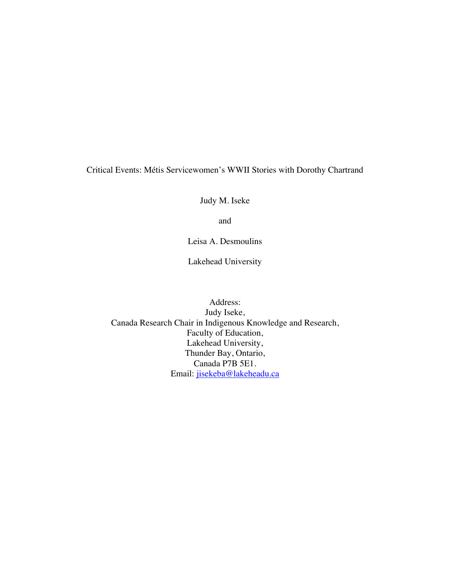Critical Events: Métis Servicewomen's WWII Stories with Dorothy Chartrand

Judy M. Iseke

and

Leisa A. Desmoulins

Lakehead University

Address: Judy Iseke, Canada Research Chair in Indigenous Knowledge and Research, Faculty of Education, Lakehead University, Thunder Bay, Ontario, Canada P7B 5E1. Email: jisekeba@lakeheadu.ca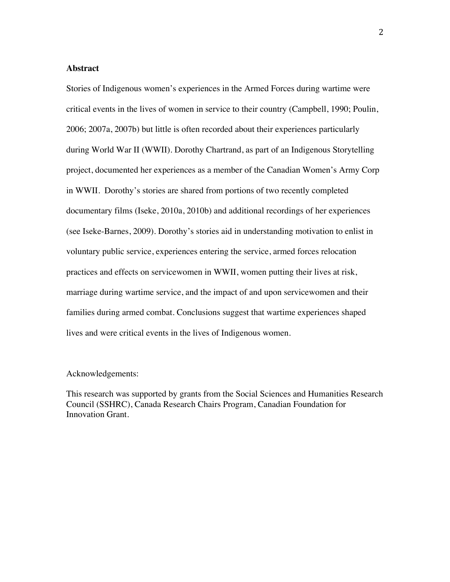## **Abstract**

Stories of Indigenous women's experiences in the Armed Forces during wartime were critical events in the lives of women in service to their country (Campbell, 1990; Poulin, 2006; 2007a, 2007b) but little is often recorded about their experiences particularly during World War II (WWII). Dorothy Chartrand, as part of an Indigenous Storytelling project, documented her experiences as a member of the Canadian Women's Army Corp in WWII. Dorothy's stories are shared from portions of two recently completed documentary films (Iseke, 2010a, 2010b) and additional recordings of her experiences (see Iseke-Barnes, 2009). Dorothy's stories aid in understanding motivation to enlist in voluntary public service, experiences entering the service, armed forces relocation practices and effects on servicewomen in WWII, women putting their lives at risk, marriage during wartime service, and the impact of and upon servicewomen and their families during armed combat. Conclusions suggest that wartime experiences shaped lives and were critical events in the lives of Indigenous women.

## Acknowledgements:

This research was supported by grants from the Social Sciences and Humanities Research Council (SSHRC), Canada Research Chairs Program, Canadian Foundation for Innovation Grant.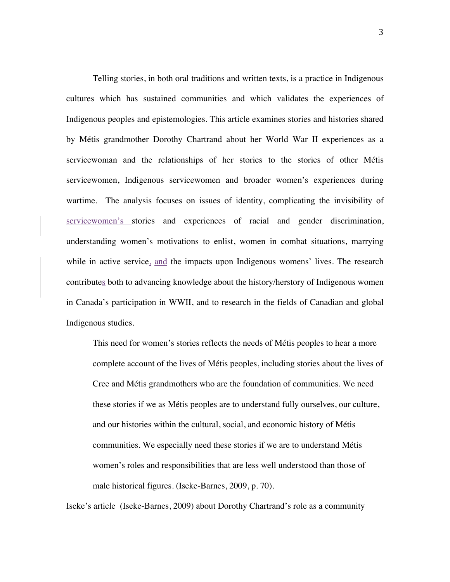Telling stories, in both oral traditions and written texts, is a practice in Indigenous cultures which has sustained communities and which validates the experiences of Indigenous peoples and epistemologies. This article examines stories and histories shared by Métis grandmother Dorothy Chartrand about her World War II experiences as a servicewoman and the relationships of her stories to the stories of other Métis servicewomen, Indigenous servicewomen and broader women's experiences during wartime. The analysis focuses on issues of identity, complicating the invisibility of servicewomen's stories and experiences of racial and gender discrimination, understanding women's motivations to enlist, women in combat situations, marrying while in active service, and the impacts upon Indigenous womens' lives. The research contributes both to advancing knowledge about the history/herstory of Indigenous women in Canada's participation in WWII, and to research in the fields of Canadian and global Indigenous studies.

This need for women's stories reflects the needs of Métis peoples to hear a more complete account of the lives of Métis peoples, including stories about the lives of Cree and Métis grandmothers who are the foundation of communities. We need these stories if we as Métis peoples are to understand fully ourselves, our culture, and our histories within the cultural, social, and economic history of Métis communities. We especially need these stories if we are to understand Métis women's roles and responsibilities that are less well understood than those of male historical figures. (Iseke-Barnes, 2009, p. 70).

Iseke's article (Iseke-Barnes, 2009) about Dorothy Chartrand's role as a community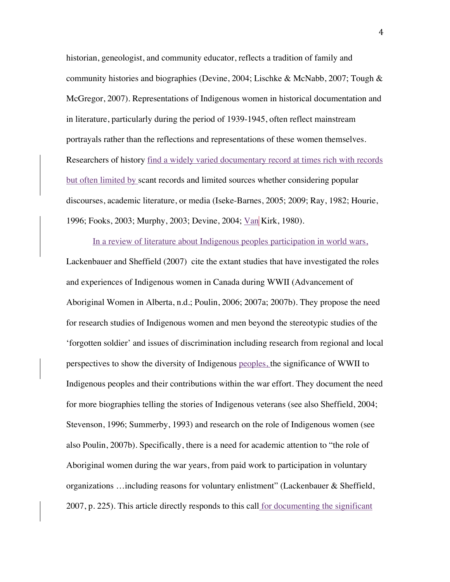historian, geneologist, and community educator, reflects a tradition of family and community histories and biographies (Devine, 2004; Lischke & McNabb, 2007; Tough & McGregor, 2007). Representations of Indigenous women in historical documentation and in literature, particularly during the period of 1939-1945, often reflect mainstream portrayals rather than the reflections and representations of these women themselves. Researchers of history find a widely varied documentary record at times rich with records but often limited by scant records and limited sources whether considering popular discourses, academic literature, or media (Iseke-Barnes, 2005; 2009; Ray, 1982; Hourie, 1996; Fooks, 2003; Murphy, 2003; Devine, 2004; Van Kirk, 1980).

In a review of literature about Indigenous peoples participation in world wars, Lackenbauer and Sheffield (2007) cite the extant studies that have investigated the roles and experiences of Indigenous women in Canada during WWII (Advancement of Aboriginal Women in Alberta, n.d.; Poulin, 2006; 2007a; 2007b). They propose the need for research studies of Indigenous women and men beyond the stereotypic studies of the 'forgotten soldier' and issues of discrimination including research from regional and local perspectives to show the diversity of Indigenous peoples, the significance of WWII to Indigenous peoples and their contributions within the war effort. They document the need for more biographies telling the stories of Indigenous veterans (see also Sheffield, 2004; Stevenson, 1996; Summerby, 1993) and research on the role of Indigenous women (see also Poulin, 2007b). Specifically, there is a need for academic attention to "the role of Aboriginal women during the war years, from paid work to participation in voluntary organizations …including reasons for voluntary enlistment" (Lackenbauer & Sheffield, 2007, p. 225). This article directly responds to this call for documenting the significant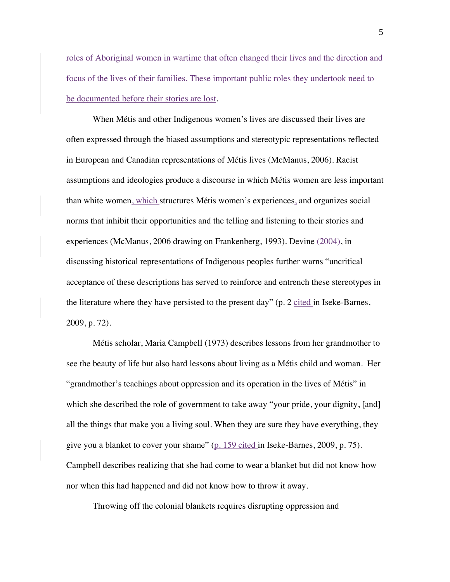roles of Aboriginal women in wartime that often changed their lives and the direction and focus of the lives of their families. These important public roles they undertook need to be documented before their stories are lost.

When Métis and other Indigenous women's lives are discussed their lives are often expressed through the biased assumptions and stereotypic representations reflected in European and Canadian representations of Métis lives (McManus, 2006). Racist assumptions and ideologies produce a discourse in which Métis women are less important than white women, which structures Métis women's experiences, and organizes social norms that inhibit their opportunities and the telling and listening to their stories and experiences (McManus, 2006 drawing on Frankenberg, 1993). Devine (2004), in discussing historical representations of Indigenous peoples further warns "uncritical acceptance of these descriptions has served to reinforce and entrench these stereotypes in the literature where they have persisted to the present day" ( $p. 2$  cited in Iseke-Barnes, 2009, p. 72).

Métis scholar, Maria Campbell (1973) describes lessons from her grandmother to see the beauty of life but also hard lessons about living as a Métis child and woman. Her "grandmother's teachings about oppression and its operation in the lives of Métis" in which she described the role of government to take away "your pride, your dignity, [and] all the things that make you a living soul. When they are sure they have everything, they give you a blanket to cover your shame" (p. 159 cited in Iseke-Barnes, 2009, p. 75). Campbell describes realizing that she had come to wear a blanket but did not know how nor when this had happened and did not know how to throw it away.

Throwing off the colonial blankets requires disrupting oppression and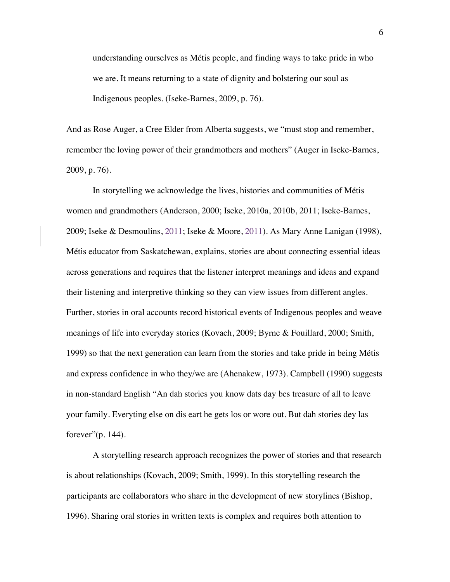understanding ourselves as Métis people, and finding ways to take pride in who we are. It means returning to a state of dignity and bolstering our soul as Indigenous peoples. (Iseke-Barnes, 2009, p. 76).

And as Rose Auger, a Cree Elder from Alberta suggests, we "must stop and remember, remember the loving power of their grandmothers and mothers" (Auger in Iseke-Barnes, 2009, p. 76).

In storytelling we acknowledge the lives, histories and communities of Métis women and grandmothers (Anderson, 2000; Iseke, 2010a, 2010b, 2011; Iseke-Barnes, 2009; Iseke & Desmoulins, 2011; Iseke & Moore, 2011). As Mary Anne Lanigan (1998), Métis educator from Saskatchewan, explains, stories are about connecting essential ideas across generations and requires that the listener interpret meanings and ideas and expand their listening and interpretive thinking so they can view issues from different angles. Further, stories in oral accounts record historical events of Indigenous peoples and weave meanings of life into everyday stories (Kovach, 2009; Byrne & Fouillard, 2000; Smith, 1999) so that the next generation can learn from the stories and take pride in being Métis and express confidence in who they/we are (Ahenakew, 1973). Campbell (1990) suggests in non-standard English "An dah stories you know dats day bes treasure of all to leave your family. Everyting else on dis eart he gets los or wore out. But dah stories dey las forever"(p. 144).

A storytelling research approach recognizes the power of stories and that research is about relationships (Kovach, 2009; Smith, 1999). In this storytelling research the participants are collaborators who share in the development of new storylines (Bishop, 1996). Sharing oral stories in written texts is complex and requires both attention to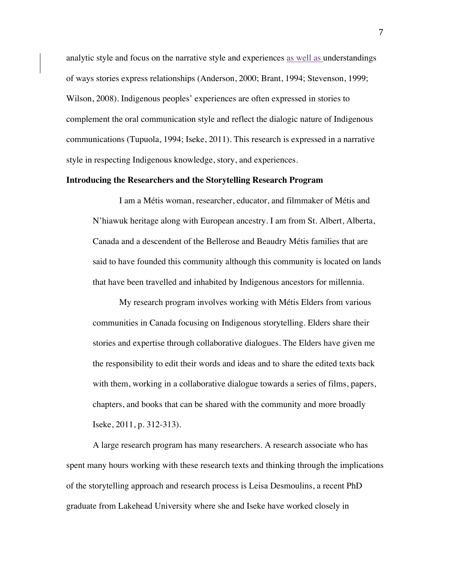analytic style and focus on the narrative style and experiences as well as understandings of ways stories express relationships (Anderson, 2000; Brant, 1994; Stevenson, 1999; Wilson, 2008). Indigenous peoples' experiences are often expressed in stories to complement the oral communication style and reflect the dialogic nature of Indigenous communications (Tupuola, 1994; Iseke, 2011). This research is expressed in a narrative style in respecting Indigenous knowledge, story, and experiences.

#### **Introducing the Researchers and the Storytelling Research Program**

I am a Métis woman, researcher, educator, and filmmaker of Métis and N'hiawuk heritage along with European ancestry. I am from St. Albert, Alberta, Canada and a descendent of the Bellerose and Beaudry Métis families that are said to have founded this community although this community is located on lands that have been travelled and inhabited by Indigenous ancestors for millennia.

My research program involves working with Métis Elders from various communities in Canada focusing on Indigenous storytelling. Elders share their stories and expertise through collaborative dialogues. The Elders have given me the responsibility to edit their words and ideas and to share the edited texts back with them, working in a collaborative dialogue towards a series of films, papers, chapters, and books that can be shared with the community and more broadly Iseke, 2011, p. 312-313).

A large research program has many researchers. A research associate who has spent many hours working with these research texts and thinking through the implications of the storytelling approach and research process is Leisa Desmoulins, a recent PhD graduate from Lakehead University where she and Iseke have worked closely in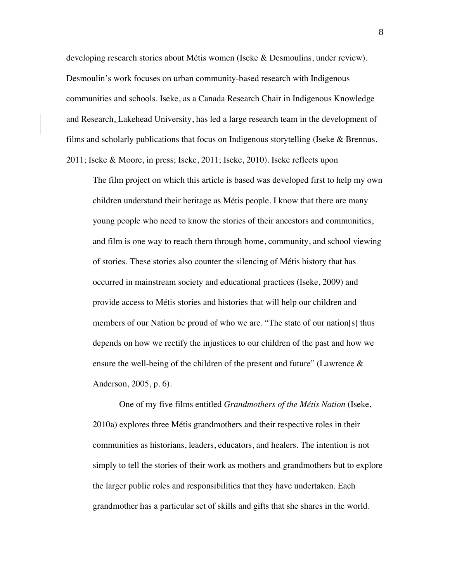developing research stories about Métis women (Iseke & Desmoulins, under review). Desmoulin's work focuses on urban community-based research with Indigenous communities and schools. Iseke, as a Canada Research Chair in Indigenous Knowledge and Research, Lakehead University, has led a large research team in the development of films and scholarly publications that focus on Indigenous storytelling (Iseke  $\&$  Brennus,

2011; Iseke & Moore, in press; Iseke, 2011; Iseke, 2010). Iseke reflects upon

The film project on which this article is based was developed first to help my own children understand their heritage as Métis people. I know that there are many young people who need to know the stories of their ancestors and communities, and film is one way to reach them through home, community, and school viewing of stories. These stories also counter the silencing of Métis history that has occurred in mainstream society and educational practices (Iseke, 2009) and provide access to Métis stories and histories that will help our children and members of our Nation be proud of who we are. "The state of our nation[s] thus depends on how we rectify the injustices to our children of the past and how we ensure the well-being of the children of the present and future" (Lawrence & Anderson, 2005, p. 6).

One of my five films entitled *Grandmothers of the Métis Nation* (Iseke, 2010a) explores three Métis grandmothers and their respective roles in their communities as historians, leaders, educators, and healers. The intention is not simply to tell the stories of their work as mothers and grandmothers but to explore the larger public roles and responsibilities that they have undertaken. Each grandmother has a particular set of skills and gifts that she shares in the world.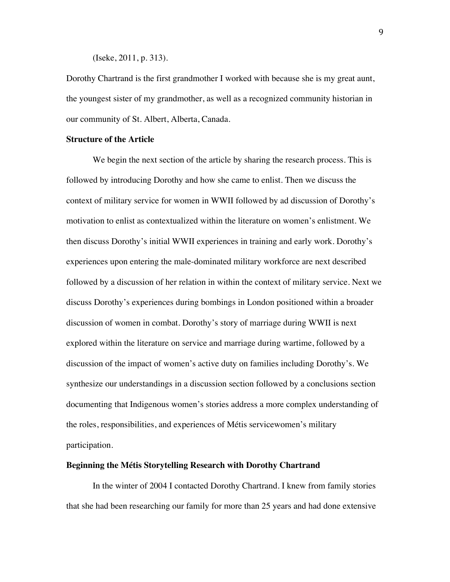(Iseke, 2011, p. 313).

Dorothy Chartrand is the first grandmother I worked with because she is my great aunt, the youngest sister of my grandmother, as well as a recognized community historian in our community of St. Albert, Alberta, Canada.

### **Structure of the Article**

We begin the next section of the article by sharing the research process. This is followed by introducing Dorothy and how she came to enlist. Then we discuss the context of military service for women in WWII followed by ad discussion of Dorothy's motivation to enlist as contextualized within the literature on women's enlistment. We then discuss Dorothy's initial WWII experiences in training and early work. Dorothy's experiences upon entering the male-dominated military workforce are next described followed by a discussion of her relation in within the context of military service. Next we discuss Dorothy's experiences during bombings in London positioned within a broader discussion of women in combat. Dorothy's story of marriage during WWII is next explored within the literature on service and marriage during wartime, followed by a discussion of the impact of women's active duty on families including Dorothy's. We synthesize our understandings in a discussion section followed by a conclusions section documenting that Indigenous women's stories address a more complex understanding of the roles, responsibilities, and experiences of Métis servicewomen's military participation.

## **Beginning the Métis Storytelling Research with Dorothy Chartrand**

In the winter of 2004 I contacted Dorothy Chartrand. I knew from family stories that she had been researching our family for more than 25 years and had done extensive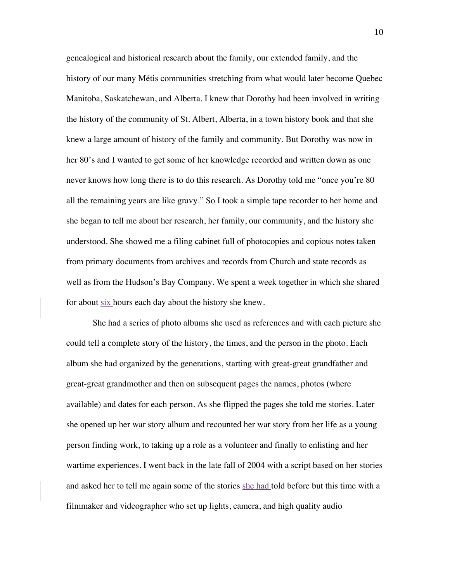genealogical and historical research about the family, our extended family, and the history of our many Métis communities stretching from what would later become Quebec Manitoba, Saskatchewan, and Alberta. I knew that Dorothy had been involved in writing the history of the community of St. Albert, Alberta, in a town history book and that she knew a large amount of history of the family and community. But Dorothy was now in her 80's and I wanted to get some of her knowledge recorded and written down as one never knows how long there is to do this research. As Dorothy told me "once you're 80 all the remaining years are like gravy." So I took a simple tape recorder to her home and she began to tell me about her research, her family, our community, and the history she understood. She showed me a filing cabinet full of photocopies and copious notes taken from primary documents from archives and records from Church and state records as well as from the Hudson's Bay Company. We spent a week together in which she shared for about six hours each day about the history she knew.

She had a series of photo albums she used as references and with each picture she could tell a complete story of the history, the times, and the person in the photo. Each album she had organized by the generations, starting with great-great grandfather and great-great grandmother and then on subsequent pages the names, photos (where available) and dates for each person. As she flipped the pages she told me stories. Later she opened up her war story album and recounted her war story from her life as a young person finding work, to taking up a role as a volunteer and finally to enlisting and her wartime experiences. I went back in the late fall of 2004 with a script based on her stories and asked her to tell me again some of the stories she had told before but this time with a filmmaker and videographer who set up lights, camera, and high quality audio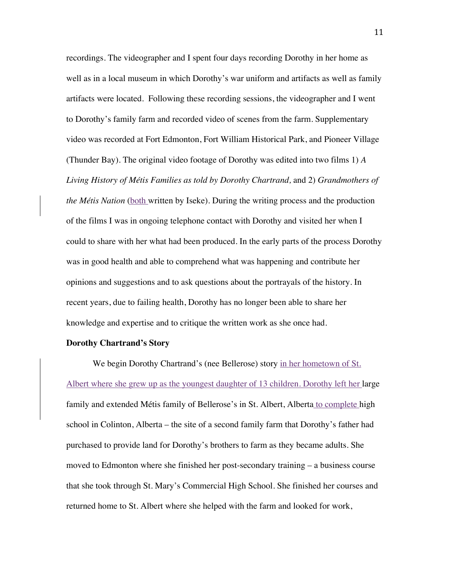recordings. The videographer and I spent four days recording Dorothy in her home as well as in a local museum in which Dorothy's war uniform and artifacts as well as family artifacts were located. Following these recording sessions, the videographer and I went to Dorothy's family farm and recorded video of scenes from the farm. Supplementary video was recorded at Fort Edmonton, Fort William Historical Park, and Pioneer Village (Thunder Bay). The original video footage of Dorothy was edited into two films 1) *A Living History of Métis Families as told by Dorothy Chartrand,* and 2) *Grandmothers of the Métis Nation* (both written by Iseke). During the writing process and the production of the films I was in ongoing telephone contact with Dorothy and visited her when I could to share with her what had been produced. In the early parts of the process Dorothy was in good health and able to comprehend what was happening and contribute her opinions and suggestions and to ask questions about the portrayals of the history. In recent years, due to failing health, Dorothy has no longer been able to share her knowledge and expertise and to critique the written work as she once had.

#### **Dorothy Chartrand's Story**

We begin Dorothy Chartrand's (nee Bellerose) story in her hometown of St. Albert where she grew up as the youngest daughter of 13 children. Dorothy left her large family and extended Métis family of Bellerose's in St. Albert, Alberta to complete high school in Colinton, Alberta – the site of a second family farm that Dorothy's father had purchased to provide land for Dorothy's brothers to farm as they became adults. She moved to Edmonton where she finished her post-secondary training – a business course that she took through St. Mary's Commercial High School. She finished her courses and returned home to St. Albert where she helped with the farm and looked for work,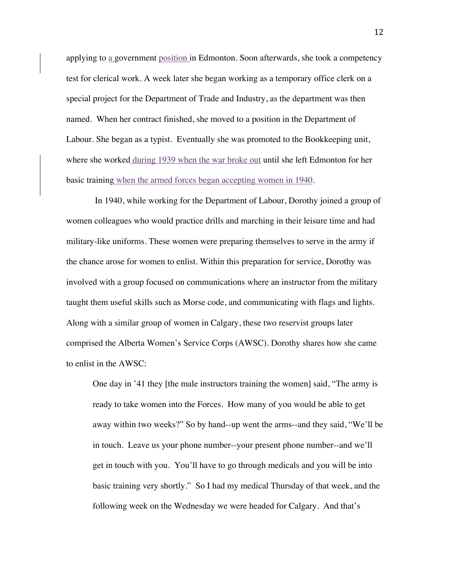applying to a government position in Edmonton. Soon afterwards, she took a competency test for clerical work. A week later she began working as a temporary office clerk on a special project for the Department of Trade and Industry, as the department was then named. When her contract finished, she moved to a position in the Department of Labour. She began as a typist. Eventually she was promoted to the Bookkeeping unit, where she worked during 1939 when the war broke out until she left Edmonton for her basic training when the armed forces began accepting women in 1940.

In 1940, while working for the Department of Labour, Dorothy joined a group of women colleagues who would practice drills and marching in their leisure time and had military-like uniforms. These women were preparing themselves to serve in the army if the chance arose for women to enlist. Within this preparation for service, Dorothy was involved with a group focused on communications where an instructor from the military taught them useful skills such as Morse code, and communicating with flags and lights. Along with a similar group of women in Calgary, these two reservist groups later comprised the Alberta Women's Service Corps (AWSC). Dorothy shares how she came to enlist in the AWSC:

One day in '41 they [the male instructors training the women] said, "The army is ready to take women into the Forces. How many of you would be able to get away within two weeks?" So by hand--up went the arms--and they said, "We'll be in touch. Leave us your phone number--your present phone number--and we'll get in touch with you. You'll have to go through medicals and you will be into basic training very shortly." So I had my medical Thursday of that week, and the following week on the Wednesday we were headed for Calgary. And that's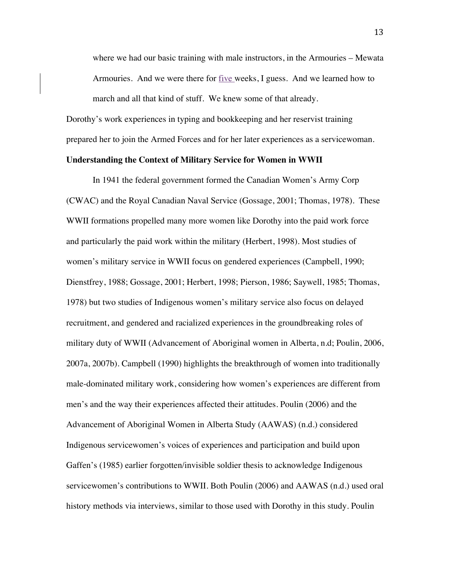where we had our basic training with male instructors, in the Armouries – Mewata Armouries. And we were there for five weeks, I guess. And we learned how to march and all that kind of stuff. We knew some of that already.

Dorothy's work experiences in typing and bookkeeping and her reservist training prepared her to join the Armed Forces and for her later experiences as a servicewoman.

### **Understanding the Context of Military Service for Women in WWII**

In 1941 the federal government formed the Canadian Women's Army Corp (CWAC) and the Royal Canadian Naval Service (Gossage, 2001; Thomas, 1978). These WWII formations propelled many more women like Dorothy into the paid work force and particularly the paid work within the military (Herbert, 1998). Most studies of women's military service in WWII focus on gendered experiences (Campbell, 1990; Dienstfrey, 1988; Gossage, 2001; Herbert, 1998; Pierson, 1986; Saywell, 1985; Thomas, 1978) but two studies of Indigenous women's military service also focus on delayed recruitment, and gendered and racialized experiences in the groundbreaking roles of military duty of WWII (Advancement of Aboriginal women in Alberta, n.d; Poulin, 2006, 2007a, 2007b). Campbell (1990) highlights the breakthrough of women into traditionally male-dominated military work, considering how women's experiences are different from men's and the way their experiences affected their attitudes. Poulin (2006) and the Advancement of Aboriginal Women in Alberta Study (AAWAS) (n.d.) considered Indigenous servicewomen's voices of experiences and participation and build upon Gaffen's (1985) earlier forgotten/invisible soldier thesis to acknowledge Indigenous servicewomen's contributions to WWII. Both Poulin (2006) and AAWAS (n.d.) used oral history methods via interviews, similar to those used with Dorothy in this study. Poulin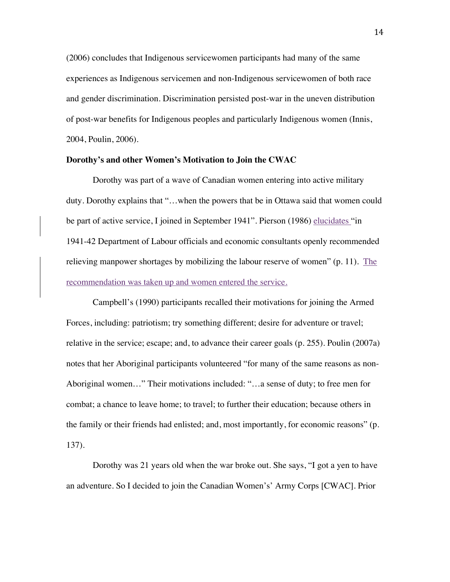(2006) concludes that Indigenous servicewomen participants had many of the same experiences as Indigenous servicemen and non-Indigenous servicewomen of both race and gender discrimination. Discrimination persisted post-war in the uneven distribution of post-war benefits for Indigenous peoples and particularly Indigenous women (Innis, 2004, Poulin, 2006).

## **Dorothy's and other Women's Motivation to Join the CWAC**

Dorothy was part of a wave of Canadian women entering into active military duty. Dorothy explains that "…when the powers that be in Ottawa said that women could be part of active service, I joined in September 1941". Pierson (1986) elucidates "in 1941-42 Department of Labour officials and economic consultants openly recommended relieving manpower shortages by mobilizing the labour reserve of women"  $(p. 11)$ . The recommendation was taken up and women entered the service.

Campbell's (1990) participants recalled their motivations for joining the Armed Forces, including: patriotism; try something different; desire for adventure or travel; relative in the service; escape; and, to advance their career goals (p. 255). Poulin (2007a) notes that her Aboriginal participants volunteered "for many of the same reasons as non-Aboriginal women…" Their motivations included: "…a sense of duty; to free men for combat; a chance to leave home; to travel; to further their education; because others in the family or their friends had enlisted; and, most importantly, for economic reasons" (p. 137).

Dorothy was 21 years old when the war broke out. She says, "I got a yen to have an adventure. So I decided to join the Canadian Women's' Army Corps [CWAC]. Prior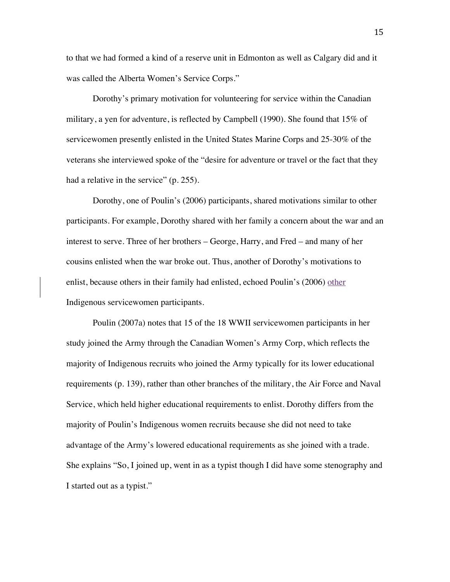to that we had formed a kind of a reserve unit in Edmonton as well as Calgary did and it was called the Alberta Women's Service Corps."

Dorothy's primary motivation for volunteering for service within the Canadian military, a yen for adventure, is reflected by Campbell (1990). She found that 15% of servicewomen presently enlisted in the United States Marine Corps and 25-30% of the veterans she interviewed spoke of the "desire for adventure or travel or the fact that they had a relative in the service" (p. 255).

Dorothy, one of Poulin's (2006) participants, shared motivations similar to other participants. For example, Dorothy shared with her family a concern about the war and an interest to serve. Three of her brothers – George, Harry, and Fred – and many of her cousins enlisted when the war broke out. Thus, another of Dorothy's motivations to enlist, because others in their family had enlisted, echoed Poulin's (2006) other Indigenous servicewomen participants.

Poulin (2007a) notes that 15 of the 18 WWII servicewomen participants in her study joined the Army through the Canadian Women's Army Corp, which reflects the majority of Indigenous recruits who joined the Army typically for its lower educational requirements (p. 139), rather than other branches of the military, the Air Force and Naval Service, which held higher educational requirements to enlist. Dorothy differs from the majority of Poulin's Indigenous women recruits because she did not need to take advantage of the Army's lowered educational requirements as she joined with a trade. She explains "So, I joined up, went in as a typist though I did have some stenography and I started out as a typist."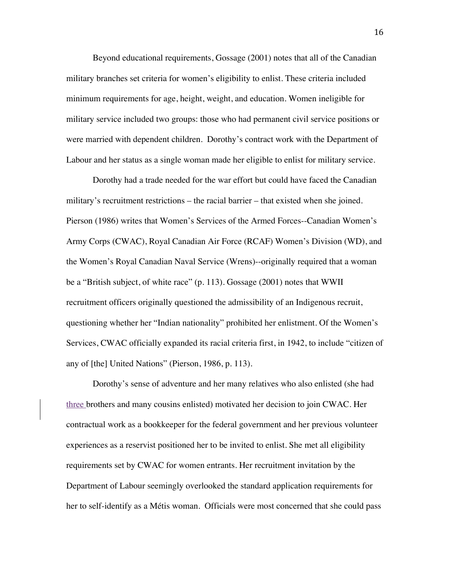Beyond educational requirements, Gossage (2001) notes that all of the Canadian military branches set criteria for women's eligibility to enlist. These criteria included minimum requirements for age, height, weight, and education. Women ineligible for military service included two groups: those who had permanent civil service positions or were married with dependent children. Dorothy's contract work with the Department of Labour and her status as a single woman made her eligible to enlist for military service.

Dorothy had a trade needed for the war effort but could have faced the Canadian military's recruitment restrictions – the racial barrier – that existed when she joined. Pierson (1986) writes that Women's Services of the Armed Forces--Canadian Women's Army Corps (CWAC), Royal Canadian Air Force (RCAF) Women's Division (WD), and the Women's Royal Canadian Naval Service (Wrens)--originally required that a woman be a "British subject, of white race" (p. 113). Gossage (2001) notes that WWII recruitment officers originally questioned the admissibility of an Indigenous recruit, questioning whether her "Indian nationality" prohibited her enlistment. Of the Women's Services, CWAC officially expanded its racial criteria first, in 1942, to include "citizen of any of [the] United Nations" (Pierson, 1986, p. 113).

Dorothy's sense of adventure and her many relatives who also enlisted (she had three brothers and many cousins enlisted) motivated her decision to join CWAC. Her contractual work as a bookkeeper for the federal government and her previous volunteer experiences as a reservist positioned her to be invited to enlist. She met all eligibility requirements set by CWAC for women entrants. Her recruitment invitation by the Department of Labour seemingly overlooked the standard application requirements for her to self-identify as a Métis woman. Officials were most concerned that she could pass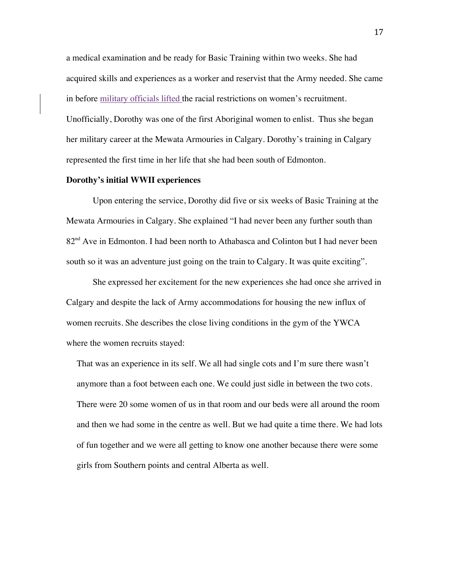a medical examination and be ready for Basic Training within two weeks. She had acquired skills and experiences as a worker and reservist that the Army needed. She came in before military officials lifted the racial restrictions on women's recruitment. Unofficially, Dorothy was one of the first Aboriginal women to enlist. Thus she began her military career at the Mewata Armouries in Calgary. Dorothy's training in Calgary represented the first time in her life that she had been south of Edmonton.

### **Dorothy's initial WWII experiences**

Upon entering the service, Dorothy did five or six weeks of Basic Training at the Mewata Armouries in Calgary. She explained "I had never been any further south than 82<sup>nd</sup> Ave in Edmonton. I had been north to Athabasca and Colinton but I had never been south so it was an adventure just going on the train to Calgary. It was quite exciting".

She expressed her excitement for the new experiences she had once she arrived in Calgary and despite the lack of Army accommodations for housing the new influx of women recruits. She describes the close living conditions in the gym of the YWCA where the women recruits stayed:

That was an experience in its self. We all had single cots and I'm sure there wasn't anymore than a foot between each one. We could just sidle in between the two cots. There were 20 some women of us in that room and our beds were all around the room and then we had some in the centre as well. But we had quite a time there. We had lots of fun together and we were all getting to know one another because there were some girls from Southern points and central Alberta as well.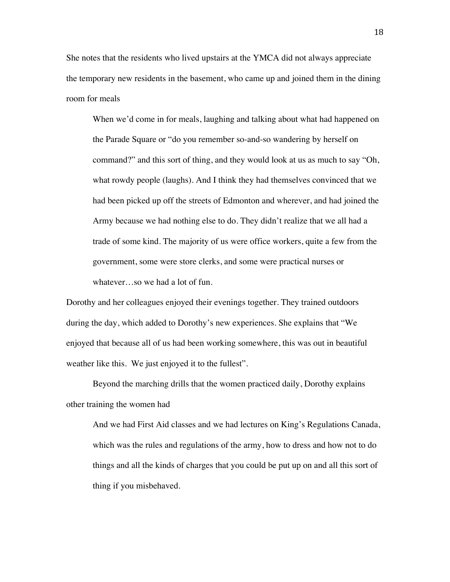She notes that the residents who lived upstairs at the YMCA did not always appreciate the temporary new residents in the basement, who came up and joined them in the dining room for meals

When we'd come in for meals, laughing and talking about what had happened on the Parade Square or "do you remember so-and-so wandering by herself on command?" and this sort of thing, and they would look at us as much to say "Oh, what rowdy people (laughs). And I think they had themselves convinced that we had been picked up off the streets of Edmonton and wherever, and had joined the Army because we had nothing else to do. They didn't realize that we all had a trade of some kind. The majority of us were office workers, quite a few from the government, some were store clerks, and some were practical nurses or whatever…so we had a lot of fun.

Dorothy and her colleagues enjoyed their evenings together. They trained outdoors during the day, which added to Dorothy's new experiences. She explains that "We enjoyed that because all of us had been working somewhere, this was out in beautiful weather like this. We just enjoyed it to the fullest".

Beyond the marching drills that the women practiced daily, Dorothy explains other training the women had

And we had First Aid classes and we had lectures on King's Regulations Canada, which was the rules and regulations of the army, how to dress and how not to do things and all the kinds of charges that you could be put up on and all this sort of thing if you misbehaved.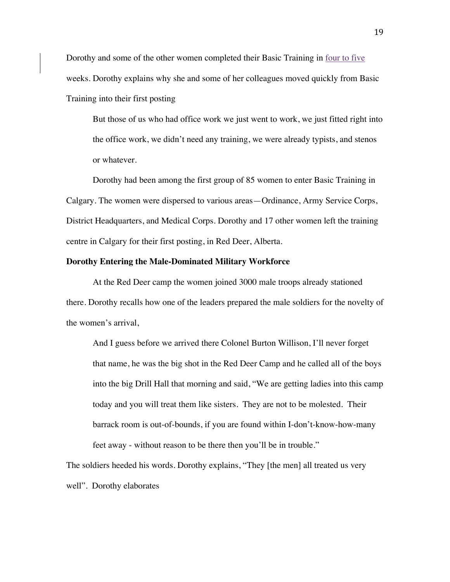Dorothy and some of the other women completed their Basic Training in four to five weeks. Dorothy explains why she and some of her colleagues moved quickly from Basic Training into their first posting

But those of us who had office work we just went to work, we just fitted right into the office work, we didn't need any training, we were already typists, and stenos or whatever.

Dorothy had been among the first group of 85 women to enter Basic Training in Calgary. The women were dispersed to various areas—Ordinance, Army Service Corps, District Headquarters, and Medical Corps. Dorothy and 17 other women left the training centre in Calgary for their first posting, in Red Deer, Alberta.

### **Dorothy Entering the Male-Dominated Military Workforce**

At the Red Deer camp the women joined 3000 male troops already stationed there. Dorothy recalls how one of the leaders prepared the male soldiers for the novelty of the women's arrival,

And I guess before we arrived there Colonel Burton Willison, I'll never forget that name, he was the big shot in the Red Deer Camp and he called all of the boys into the big Drill Hall that morning and said, "We are getting ladies into this camp today and you will treat them like sisters. They are not to be molested. Their barrack room is out-of-bounds, if you are found within I-don't-know-how-many feet away - without reason to be there then you'll be in trouble."

The soldiers heeded his words. Dorothy explains, "They [the men] all treated us very well". Dorothy elaborates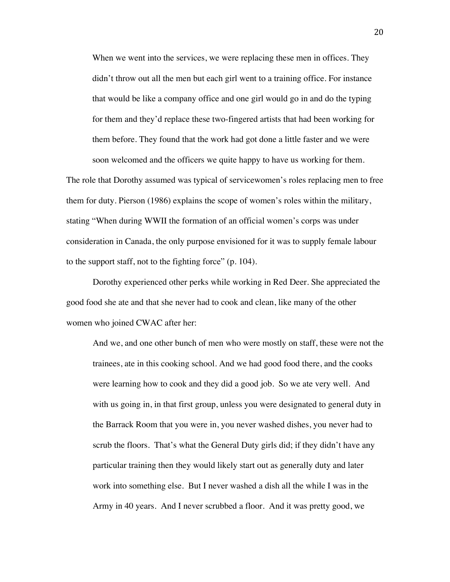When we went into the services, we were replacing these men in offices. They didn't throw out all the men but each girl went to a training office. For instance that would be like a company office and one girl would go in and do the typing for them and they'd replace these two-fingered artists that had been working for them before. They found that the work had got done a little faster and we were soon welcomed and the officers we quite happy to have us working for them.

The role that Dorothy assumed was typical of servicewomen's roles replacing men to free them for duty. Pierson (1986) explains the scope of women's roles within the military, stating "When during WWII the formation of an official women's corps was under consideration in Canada, the only purpose envisioned for it was to supply female labour to the support staff, not to the fighting force" (p. 104).

Dorothy experienced other perks while working in Red Deer. She appreciated the good food she ate and that she never had to cook and clean, like many of the other women who joined CWAC after her:

And we, and one other bunch of men who were mostly on staff, these were not the trainees, ate in this cooking school. And we had good food there, and the cooks were learning how to cook and they did a good job. So we ate very well. And with us going in, in that first group, unless you were designated to general duty in the Barrack Room that you were in, you never washed dishes, you never had to scrub the floors. That's what the General Duty girls did; if they didn't have any particular training then they would likely start out as generally duty and later work into something else. But I never washed a dish all the while I was in the Army in 40 years. And I never scrubbed a floor. And it was pretty good, we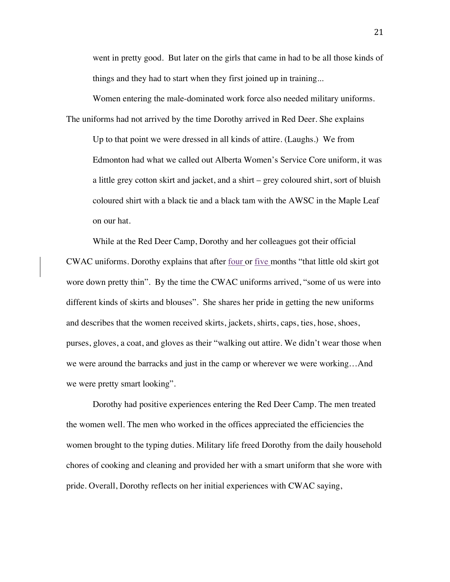went in pretty good. But later on the girls that came in had to be all those kinds of things and they had to start when they first joined up in training...

Women entering the male-dominated work force also needed military uniforms. The uniforms had not arrived by the time Dorothy arrived in Red Deer. She explains Up to that point we were dressed in all kinds of attire. (Laughs.) We from Edmonton had what we called out Alberta Women's Service Core uniform, it was a little grey cotton skirt and jacket, and a shirt – grey coloured shirt, sort of bluish coloured shirt with a black tie and a black tam with the AWSC in the Maple Leaf on our hat.

While at the Red Deer Camp, Dorothy and her colleagues got their official CWAC uniforms. Dorothy explains that after four or five months "that little old skirt got wore down pretty thin". By the time the CWAC uniforms arrived, "some of us were into different kinds of skirts and blouses". She shares her pride in getting the new uniforms and describes that the women received skirts, jackets, shirts, caps, ties, hose, shoes, purses, gloves, a coat, and gloves as their "walking out attire. We didn't wear those when we were around the barracks and just in the camp or wherever we were working…And we were pretty smart looking".

Dorothy had positive experiences entering the Red Deer Camp. The men treated the women well. The men who worked in the offices appreciated the efficiencies the women brought to the typing duties. Military life freed Dorothy from the daily household chores of cooking and cleaning and provided her with a smart uniform that she wore with pride. Overall, Dorothy reflects on her initial experiences with CWAC saying,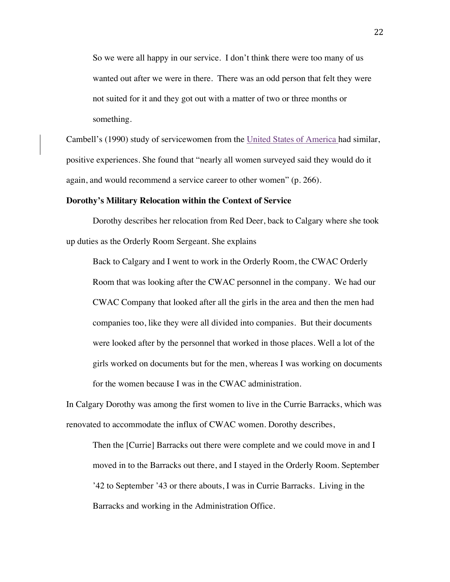So we were all happy in our service. I don't think there were too many of us wanted out after we were in there. There was an odd person that felt they were not suited for it and they got out with a matter of two or three months or something.

Cambell's (1990) study of servicewomen from the United States of America had similar, positive experiences. She found that "nearly all women surveyed said they would do it again, and would recommend a service career to other women" (p. 266).

#### **Dorothy's Military Relocation within the Context of Service**

Dorothy describes her relocation from Red Deer, back to Calgary where she took up duties as the Orderly Room Sergeant. She explains

Back to Calgary and I went to work in the Orderly Room, the CWAC Orderly Room that was looking after the CWAC personnel in the company. We had our CWAC Company that looked after all the girls in the area and then the men had companies too, like they were all divided into companies. But their documents were looked after by the personnel that worked in those places. Well a lot of the girls worked on documents but for the men, whereas I was working on documents for the women because I was in the CWAC administration.

In Calgary Dorothy was among the first women to live in the Currie Barracks, which was renovated to accommodate the influx of CWAC women. Dorothy describes,

Then the [Currie] Barracks out there were complete and we could move in and I moved in to the Barracks out there, and I stayed in the Orderly Room. September '42 to September '43 or there abouts, I was in Currie Barracks. Living in the Barracks and working in the Administration Office.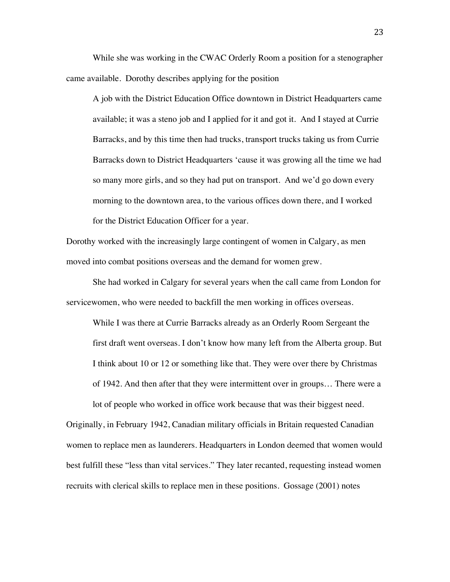While she was working in the CWAC Orderly Room a position for a stenographer came available. Dorothy describes applying for the position

A job with the District Education Office downtown in District Headquarters came available; it was a steno job and I applied for it and got it. And I stayed at Currie Barracks, and by this time then had trucks, transport trucks taking us from Currie Barracks down to District Headquarters 'cause it was growing all the time we had so many more girls, and so they had put on transport. And we'd go down every morning to the downtown area, to the various offices down there, and I worked for the District Education Officer for a year.

Dorothy worked with the increasingly large contingent of women in Calgary, as men moved into combat positions overseas and the demand for women grew.

She had worked in Calgary for several years when the call came from London for servicewomen, who were needed to backfill the men working in offices overseas.

While I was there at Currie Barracks already as an Orderly Room Sergeant the first draft went overseas. I don't know how many left from the Alberta group. But I think about 10 or 12 or something like that. They were over there by Christmas of 1942. And then after that they were intermittent over in groups… There were a

Originally, in February 1942, Canadian military officials in Britain requested Canadian women to replace men as launderers. Headquarters in London deemed that women would best fulfill these "less than vital services." They later recanted, requesting instead women recruits with clerical skills to replace men in these positions. Gossage (2001) notes

lot of people who worked in office work because that was their biggest need.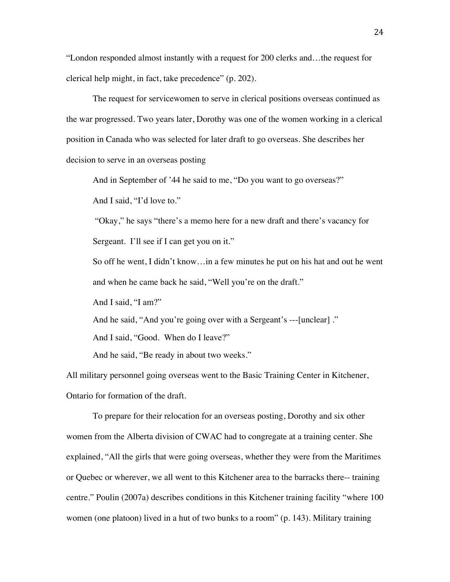"London responded almost instantly with a request for 200 clerks and…the request for clerical help might, in fact, take precedence" (p. 202).

The request for servicewomen to serve in clerical positions overseas continued as the war progressed. Two years later, Dorothy was one of the women working in a clerical position in Canada who was selected for later draft to go overseas. She describes her decision to serve in an overseas posting

And in September of '44 he said to me, "Do you want to go overseas?"

And I said, "I'd love to."

"Okay," he says "there's a memo here for a new draft and there's vacancy for Sergeant. I'll see if I can get you on it."

So off he went, I didn't know…in a few minutes he put on his hat and out he went and when he came back he said, "Well you're on the draft."

And I said, "I am?"

And he said, "And you're going over with a Sergeant's ---[unclear] ."

And I said, "Good. When do I leave?"

And he said, "Be ready in about two weeks."

All military personnel going overseas went to the Basic Training Center in Kitchener, Ontario for formation of the draft.

To prepare for their relocation for an overseas posting, Dorothy and six other women from the Alberta division of CWAC had to congregate at a training center. She explained, "All the girls that were going overseas, whether they were from the Maritimes or Quebec or wherever, we all went to this Kitchener area to the barracks there-- training centre." Poulin (2007a) describes conditions in this Kitchener training facility "where 100 women (one platoon) lived in a hut of two bunks to a room" (p. 143). Military training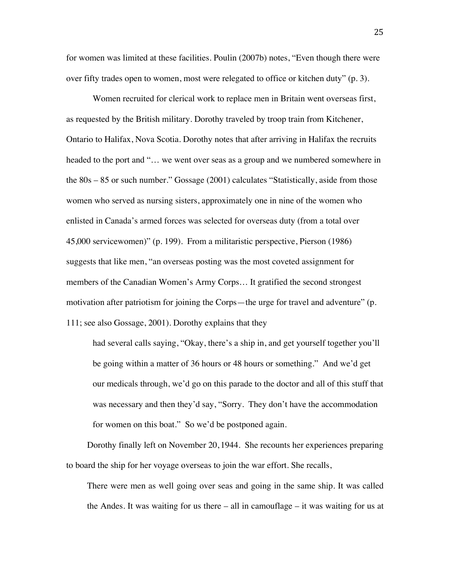for women was limited at these facilities. Poulin (2007b) notes, "Even though there were over fifty trades open to women, most were relegated to office or kitchen duty" (p. 3).

Women recruited for clerical work to replace men in Britain went overseas first, as requested by the British military. Dorothy traveled by troop train from Kitchener, Ontario to Halifax, Nova Scotia. Dorothy notes that after arriving in Halifax the recruits headed to the port and "… we went over seas as a group and we numbered somewhere in the 80s – 85 or such number." Gossage (2001) calculates "Statistically, aside from those women who served as nursing sisters, approximately one in nine of the women who enlisted in Canada's armed forces was selected for overseas duty (from a total over 45,000 servicewomen)" (p. 199). From a militaristic perspective, Pierson (1986) suggests that like men, "an overseas posting was the most coveted assignment for members of the Canadian Women's Army Corps… It gratified the second strongest motivation after patriotism for joining the Corps—the urge for travel and adventure" (p. 111; see also Gossage, 2001). Dorothy explains that they

had several calls saying, "Okay, there's a ship in, and get yourself together you'll be going within a matter of 36 hours or 48 hours or something." And we'd get our medicals through, we'd go on this parade to the doctor and all of this stuff that was necessary and then they'd say, "Sorry. They don't have the accommodation for women on this boat." So we'd be postponed again.

Dorothy finally left on November 20, 1944. She recounts her experiences preparing to board the ship for her voyage overseas to join the war effort. She recalls,

There were men as well going over seas and going in the same ship. It was called the Andes. It was waiting for us there – all in camouflage – it was waiting for us at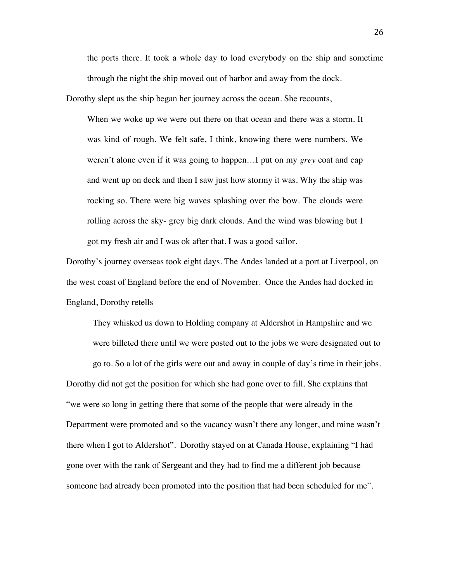the ports there. It took a whole day to load everybody on the ship and sometime through the night the ship moved out of harbor and away from the dock.

Dorothy slept as the ship began her journey across the ocean. She recounts,

When we woke up we were out there on that ocean and there was a storm. It was kind of rough. We felt safe, I think, knowing there were numbers. We weren't alone even if it was going to happen…I put on my *grey* coat and cap and went up on deck and then I saw just how stormy it was. Why the ship was rocking so. There were big waves splashing over the bow. The clouds were rolling across the sky- grey big dark clouds. And the wind was blowing but I got my fresh air and I was ok after that. I was a good sailor.

Dorothy's journey overseas took eight days. The Andes landed at a port at Liverpool, on the west coast of England before the end of November. Once the Andes had docked in England, Dorothy retells

They whisked us down to Holding company at Aldershot in Hampshire and we were billeted there until we were posted out to the jobs we were designated out to go to. So a lot of the girls were out and away in couple of day's time in their jobs. Dorothy did not get the position for which she had gone over to fill. She explains that "we were so long in getting there that some of the people that were already in the Department were promoted and so the vacancy wasn't there any longer, and mine wasn't there when I got to Aldershot". Dorothy stayed on at Canada House, explaining "I had gone over with the rank of Sergeant and they had to find me a different job because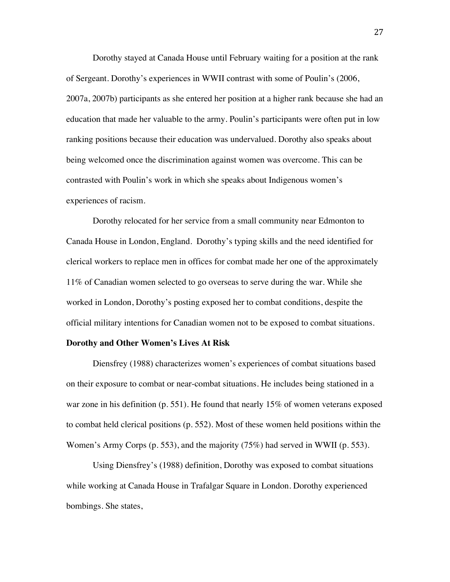Dorothy stayed at Canada House until February waiting for a position at the rank of Sergeant. Dorothy's experiences in WWII contrast with some of Poulin's (2006, 2007a, 2007b) participants as she entered her position at a higher rank because she had an education that made her valuable to the army. Poulin's participants were often put in low ranking positions because their education was undervalued. Dorothy also speaks about being welcomed once the discrimination against women was overcome. This can be contrasted with Poulin's work in which she speaks about Indigenous women's experiences of racism.

Dorothy relocated for her service from a small community near Edmonton to Canada House in London, England. Dorothy's typing skills and the need identified for clerical workers to replace men in offices for combat made her one of the approximately 11% of Canadian women selected to go overseas to serve during the war. While she worked in London, Dorothy's posting exposed her to combat conditions, despite the official military intentions for Canadian women not to be exposed to combat situations.

## **Dorothy and Other Women's Lives At Risk**

Diensfrey (1988) characterizes women's experiences of combat situations based on their exposure to combat or near-combat situations. He includes being stationed in a war zone in his definition (p. 551). He found that nearly 15% of women veterans exposed to combat held clerical positions (p. 552). Most of these women held positions within the Women's Army Corps (p. 553), and the majority (75%) had served in WWII (p. 553).

Using Diensfrey's (1988) definition, Dorothy was exposed to combat situations while working at Canada House in Trafalgar Square in London. Dorothy experienced bombings. She states,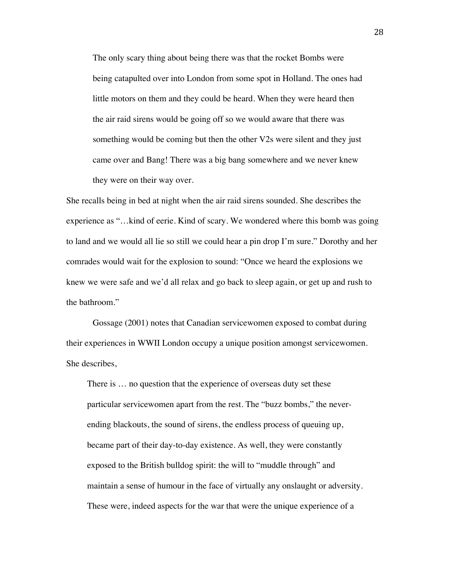The only scary thing about being there was that the rocket Bombs were being catapulted over into London from some spot in Holland. The ones had little motors on them and they could be heard. When they were heard then the air raid sirens would be going off so we would aware that there was something would be coming but then the other V2s were silent and they just came over and Bang! There was a big bang somewhere and we never knew they were on their way over.

She recalls being in bed at night when the air raid sirens sounded. She describes the experience as "…kind of eerie. Kind of scary. We wondered where this bomb was going to land and we would all lie so still we could hear a pin drop I'm sure." Dorothy and her comrades would wait for the explosion to sound: "Once we heard the explosions we knew we were safe and we'd all relax and go back to sleep again, or get up and rush to the bathroom."

Gossage (2001) notes that Canadian servicewomen exposed to combat during their experiences in WWII London occupy a unique position amongst servicewomen. She describes,

There is … no question that the experience of overseas duty set these particular servicewomen apart from the rest. The "buzz bombs," the neverending blackouts, the sound of sirens, the endless process of queuing up, became part of their day-to-day existence. As well, they were constantly exposed to the British bulldog spirit: the will to "muddle through" and maintain a sense of humour in the face of virtually any onslaught or adversity. These were, indeed aspects for the war that were the unique experience of a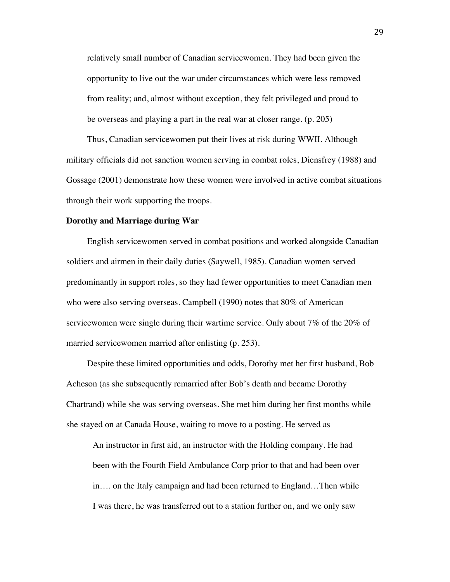relatively small number of Canadian servicewomen. They had been given the opportunity to live out the war under circumstances which were less removed from reality; and, almost without exception, they felt privileged and proud to be overseas and playing a part in the real war at closer range. (p. 205)

Thus, Canadian servicewomen put their lives at risk during WWII. Although military officials did not sanction women serving in combat roles, Diensfrey (1988) and Gossage (2001) demonstrate how these women were involved in active combat situations through their work supporting the troops.

#### **Dorothy and Marriage during War**

English servicewomen served in combat positions and worked alongside Canadian soldiers and airmen in their daily duties (Saywell, 1985). Canadian women served predominantly in support roles, so they had fewer opportunities to meet Canadian men who were also serving overseas. Campbell (1990) notes that 80% of American servicewomen were single during their wartime service. Only about 7% of the 20% of married servicewomen married after enlisting (p. 253).

Despite these limited opportunities and odds, Dorothy met her first husband, Bob Acheson (as she subsequently remarried after Bob's death and became Dorothy Chartrand) while she was serving overseas. She met him during her first months while she stayed on at Canada House, waiting to move to a posting. He served as

An instructor in first aid, an instructor with the Holding company. He had been with the Fourth Field Ambulance Corp prior to that and had been over in…. on the Italy campaign and had been returned to England…Then while I was there, he was transferred out to a station further on, and we only saw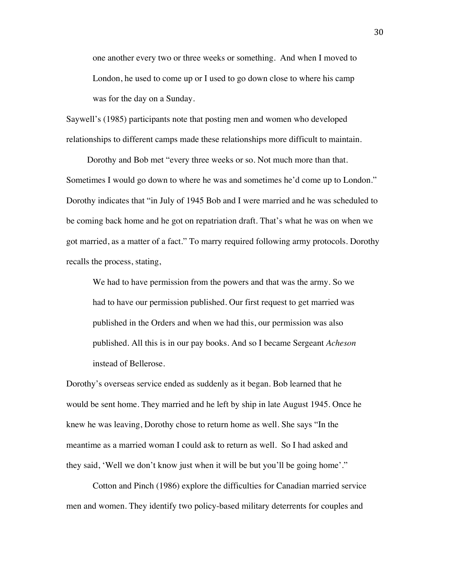one another every two or three weeks or something. And when I moved to London, he used to come up or I used to go down close to where his camp was for the day on a Sunday.

Saywell's (1985) participants note that posting men and women who developed relationships to different camps made these relationships more difficult to maintain.

Dorothy and Bob met "every three weeks or so. Not much more than that. Sometimes I would go down to where he was and sometimes he'd come up to London." Dorothy indicates that "in July of 1945 Bob and I were married and he was scheduled to be coming back home and he got on repatriation draft. That's what he was on when we got married, as a matter of a fact." To marry required following army protocols. Dorothy recalls the process, stating,

We had to have permission from the powers and that was the army. So we had to have our permission published. Our first request to get married was published in the Orders and when we had this, our permission was also published. All this is in our pay books. And so I became Sergeant *Acheson* instead of Bellerose.

Dorothy's overseas service ended as suddenly as it began. Bob learned that he would be sent home. They married and he left by ship in late August 1945. Once he knew he was leaving, Dorothy chose to return home as well. She says "In the meantime as a married woman I could ask to return as well. So I had asked and they said, 'Well we don't know just when it will be but you'll be going home'."

Cotton and Pinch (1986) explore the difficulties for Canadian married service men and women. They identify two policy-based military deterrents for couples and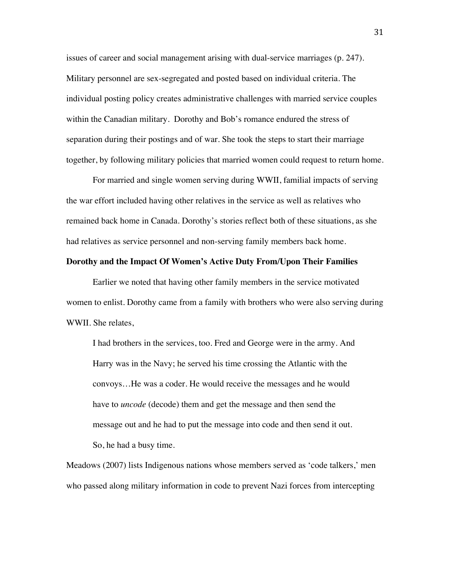issues of career and social management arising with dual-service marriages (p. 247). Military personnel are sex-segregated and posted based on individual criteria. The individual posting policy creates administrative challenges with married service couples within the Canadian military. Dorothy and Bob's romance endured the stress of separation during their postings and of war. She took the steps to start their marriage together, by following military policies that married women could request to return home.

For married and single women serving during WWII, familial impacts of serving the war effort included having other relatives in the service as well as relatives who remained back home in Canada. Dorothy's stories reflect both of these situations, as she had relatives as service personnel and non-serving family members back home.

### **Dorothy and the Impact Of Women's Active Duty From/Upon Their Families**

Earlier we noted that having other family members in the service motivated women to enlist. Dorothy came from a family with brothers who were also serving during WWII. She relates,

I had brothers in the services, too. Fred and George were in the army. And Harry was in the Navy; he served his time crossing the Atlantic with the convoys…He was a coder. He would receive the messages and he would have to *uncode* (decode) them and get the message and then send the message out and he had to put the message into code and then send it out. So, he had a busy time.

Meadows (2007) lists Indigenous nations whose members served as 'code talkers,' men who passed along military information in code to prevent Nazi forces from intercepting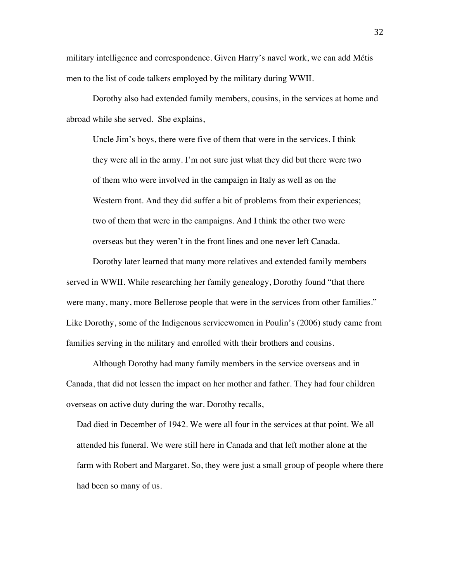military intelligence and correspondence. Given Harry's navel work, we can add Métis men to the list of code talkers employed by the military during WWII.

Dorothy also had extended family members, cousins, in the services at home and abroad while she served. She explains,

Uncle Jim's boys, there were five of them that were in the services. I think they were all in the army. I'm not sure just what they did but there were two of them who were involved in the campaign in Italy as well as on the Western front. And they did suffer a bit of problems from their experiences; two of them that were in the campaigns. And I think the other two were overseas but they weren't in the front lines and one never left Canada.

Dorothy later learned that many more relatives and extended family members served in WWII. While researching her family genealogy, Dorothy found "that there were many, many, more Bellerose people that were in the services from other families." Like Dorothy, some of the Indigenous servicewomen in Poulin's (2006) study came from families serving in the military and enrolled with their brothers and cousins.

Although Dorothy had many family members in the service overseas and in Canada, that did not lessen the impact on her mother and father. They had four children overseas on active duty during the war. Dorothy recalls,

Dad died in December of 1942. We were all four in the services at that point. We all attended his funeral. We were still here in Canada and that left mother alone at the farm with Robert and Margaret. So, they were just a small group of people where there had been so many of us.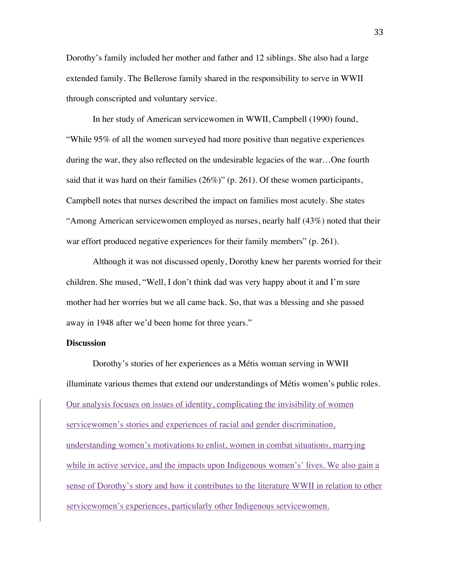Dorothy's family included her mother and father and 12 siblings. She also had a large extended family. The Bellerose family shared in the responsibility to serve in WWII through conscripted and voluntary service.

In her study of American servicewomen in WWII, Campbell (1990) found, "While 95% of all the women surveyed had more positive than negative experiences during the war, they also reflected on the undesirable legacies of the war…One fourth said that it was hard on their families  $(26\%)$ " (p. 261). Of these women participants, Campbell notes that nurses described the impact on families most acutely. She states "Among American servicewomen employed as nurses, nearly half (43%) noted that their war effort produced negative experiences for their family members" (p. 261).

Although it was not discussed openly, Dorothy knew her parents worried for their children. She mused, "Well, I don't think dad was very happy about it and I'm sure mother had her worries but we all came back. So, that was a blessing and she passed away in 1948 after we'd been home for three years."

# **Discussion**

Dorothy's stories of her experiences as a Métis woman serving in WWII illuminate various themes that extend our understandings of Métis women's public roles. Our analysis focuses on issues of identity, complicating the invisibility of women servicewomen's stories and experiences of racial and gender discrimination, understanding women's motivations to enlist, women in combat situations, marrying while in active service, and the impacts upon Indigenous women's' lives. We also gain a sense of Dorothy's story and how it contributes to the literature WWII in relation to other servicewomen's experiences, particularly other Indigenous servicewomen.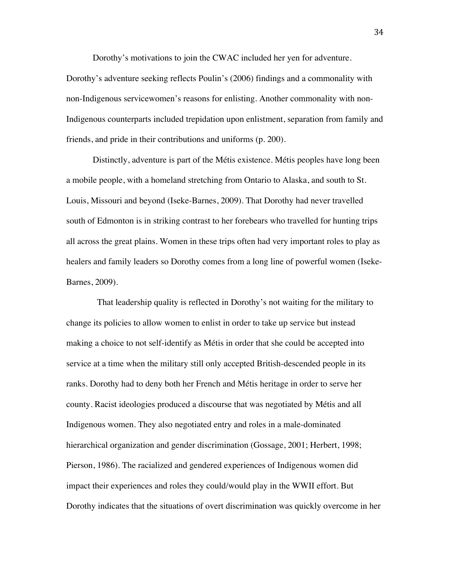Dorothy's motivations to join the CWAC included her yen for adventure. Dorothy's adventure seeking reflects Poulin's (2006) findings and a commonality with non-Indigenous servicewomen's reasons for enlisting. Another commonality with non-Indigenous counterparts included trepidation upon enlistment, separation from family and friends, and pride in their contributions and uniforms (p. 200).

Distinctly, adventure is part of the Métis existence. Métis peoples have long been a mobile people, with a homeland stretching from Ontario to Alaska, and south to St. Louis, Missouri and beyond (Iseke-Barnes, 2009). That Dorothy had never travelled south of Edmonton is in striking contrast to her forebears who travelled for hunting trips all across the great plains. Women in these trips often had very important roles to play as healers and family leaders so Dorothy comes from a long line of powerful women (Iseke-Barnes, 2009).

 That leadership quality is reflected in Dorothy's not waiting for the military to change its policies to allow women to enlist in order to take up service but instead making a choice to not self-identify as Métis in order that she could be accepted into service at a time when the military still only accepted British-descended people in its ranks. Dorothy had to deny both her French and Métis heritage in order to serve her county. Racist ideologies produced a discourse that was negotiated by Métis and all Indigenous women. They also negotiated entry and roles in a male-dominated hierarchical organization and gender discrimination (Gossage, 2001; Herbert, 1998; Pierson, 1986). The racialized and gendered experiences of Indigenous women did impact their experiences and roles they could/would play in the WWII effort. But Dorothy indicates that the situations of overt discrimination was quickly overcome in her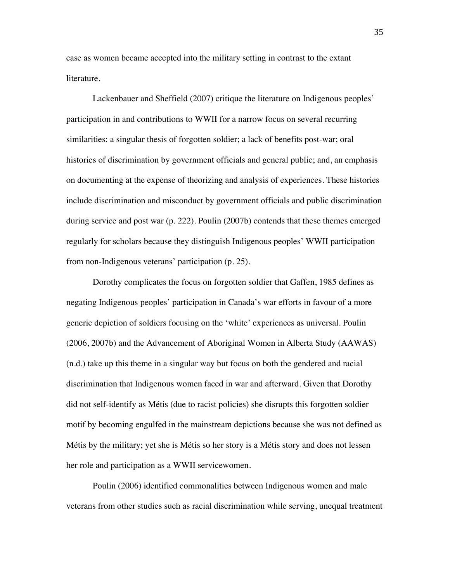case as women became accepted into the military setting in contrast to the extant literature.

Lackenbauer and Sheffield (2007) critique the literature on Indigenous peoples' participation in and contributions to WWII for a narrow focus on several recurring similarities: a singular thesis of forgotten soldier; a lack of benefits post-war; oral histories of discrimination by government officials and general public; and, an emphasis on documenting at the expense of theorizing and analysis of experiences. These histories include discrimination and misconduct by government officials and public discrimination during service and post war (p. 222). Poulin (2007b) contends that these themes emerged regularly for scholars because they distinguish Indigenous peoples' WWII participation from non-Indigenous veterans' participation (p. 25).

Dorothy complicates the focus on forgotten soldier that Gaffen, 1985 defines as negating Indigenous peoples' participation in Canada's war efforts in favour of a more generic depiction of soldiers focusing on the 'white' experiences as universal. Poulin (2006, 2007b) and the Advancement of Aboriginal Women in Alberta Study (AAWAS) (n.d.) take up this theme in a singular way but focus on both the gendered and racial discrimination that Indigenous women faced in war and afterward. Given that Dorothy did not self-identify as Métis (due to racist policies) she disrupts this forgotten soldier motif by becoming engulfed in the mainstream depictions because she was not defined as Métis by the military; yet she is Métis so her story is a Métis story and does not lessen her role and participation as a WWII servicewomen.

Poulin (2006) identified commonalities between Indigenous women and male veterans from other studies such as racial discrimination while serving, unequal treatment

35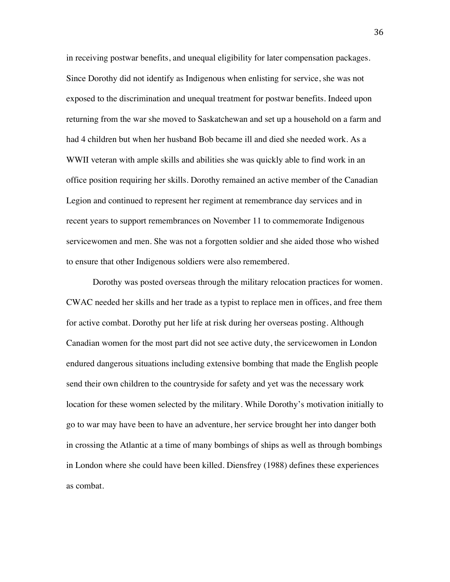in receiving postwar benefits, and unequal eligibility for later compensation packages. Since Dorothy did not identify as Indigenous when enlisting for service, she was not exposed to the discrimination and unequal treatment for postwar benefits. Indeed upon returning from the war she moved to Saskatchewan and set up a household on a farm and had 4 children but when her husband Bob became ill and died she needed work. As a WWII veteran with ample skills and abilities she was quickly able to find work in an office position requiring her skills. Dorothy remained an active member of the Canadian Legion and continued to represent her regiment at remembrance day services and in recent years to support remembrances on November 11 to commemorate Indigenous servicewomen and men. She was not a forgotten soldier and she aided those who wished to ensure that other Indigenous soldiers were also remembered.

Dorothy was posted overseas through the military relocation practices for women. CWAC needed her skills and her trade as a typist to replace men in offices, and free them for active combat. Dorothy put her life at risk during her overseas posting. Although Canadian women for the most part did not see active duty, the servicewomen in London endured dangerous situations including extensive bombing that made the English people send their own children to the countryside for safety and yet was the necessary work location for these women selected by the military. While Dorothy's motivation initially to go to war may have been to have an adventure, her service brought her into danger both in crossing the Atlantic at a time of many bombings of ships as well as through bombings in London where she could have been killed. Diensfrey (1988) defines these experiences as combat.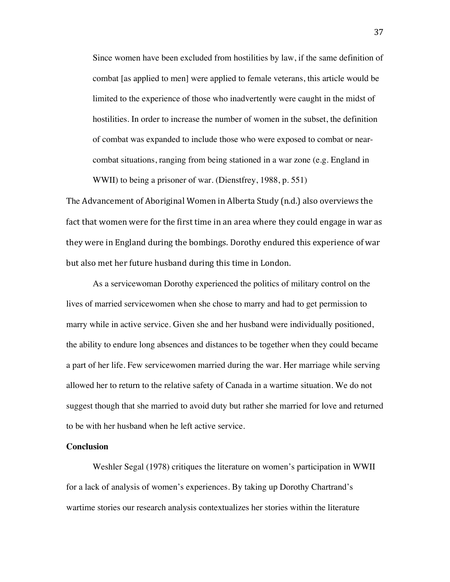Since women have been excluded from hostilities by law, if the same definition of combat [as applied to men] were applied to female veterans, this article would be limited to the experience of those who inadvertently were caught in the midst of hostilities. In order to increase the number of women in the subset, the definition of combat was expanded to include those who were exposed to combat or nearcombat situations, ranging from being stationed in a war zone (e.g. England in WWII) to being a prisoner of war. (Dienstfrey, 1988, p. 551)

The Advancement of Aboriginal Women in Alberta Study (n.d.) also overviews the fact that women were for the first time in an area where they could engage in war as they were in England during the bombings. Dorothy endured this experience of war but also met her future husband during this time in London.

As a servicewoman Dorothy experienced the politics of military control on the lives of married servicewomen when she chose to marry and had to get permission to marry while in active service. Given she and her husband were individually positioned, the ability to endure long absences and distances to be together when they could became a part of her life. Few servicewomen married during the war. Her marriage while serving allowed her to return to the relative safety of Canada in a wartime situation. We do not suggest though that she married to avoid duty but rather she married for love and returned to be with her husband when he left active service.

## **Conclusion**

Weshler Segal (1978) critiques the literature on women's participation in WWII for a lack of analysis of women's experiences. By taking up Dorothy Chartrand's wartime stories our research analysis contextualizes her stories within the literature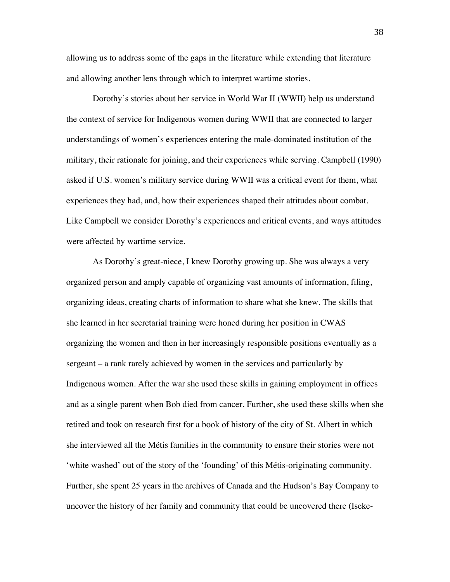allowing us to address some of the gaps in the literature while extending that literature and allowing another lens through which to interpret wartime stories.

Dorothy's stories about her service in World War II (WWII) help us understand the context of service for Indigenous women during WWII that are connected to larger understandings of women's experiences entering the male-dominated institution of the military, their rationale for joining, and their experiences while serving. Campbell (1990) asked if U.S. women's military service during WWII was a critical event for them, what experiences they had, and, how their experiences shaped their attitudes about combat. Like Campbell we consider Dorothy's experiences and critical events, and ways attitudes were affected by wartime service.

As Dorothy's great-niece, I knew Dorothy growing up. She was always a very organized person and amply capable of organizing vast amounts of information, filing, organizing ideas, creating charts of information to share what she knew. The skills that she learned in her secretarial training were honed during her position in CWAS organizing the women and then in her increasingly responsible positions eventually as a sergeant – a rank rarely achieved by women in the services and particularly by Indigenous women. After the war she used these skills in gaining employment in offices and as a single parent when Bob died from cancer. Further, she used these skills when she retired and took on research first for a book of history of the city of St. Albert in which she interviewed all the Métis families in the community to ensure their stories were not 'white washed' out of the story of the 'founding' of this Métis-originating community. Further, she spent 25 years in the archives of Canada and the Hudson's Bay Company to uncover the history of her family and community that could be uncovered there (Iseke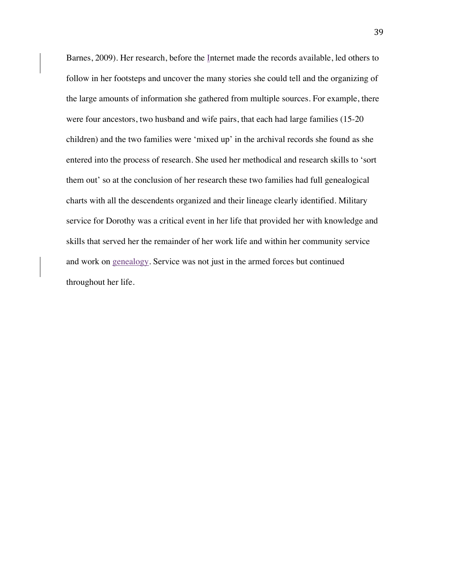Barnes, 2009). Her research, before the Internet made the records available, led others to follow in her footsteps and uncover the many stories she could tell and the organizing of the large amounts of information she gathered from multiple sources. For example, there were four ancestors, two husband and wife pairs, that each had large families (15-20 children) and the two families were 'mixed up' in the archival records she found as she entered into the process of research. She used her methodical and research skills to 'sort them out' so at the conclusion of her research these two families had full genealogical charts with all the descendents organized and their lineage clearly identified. Military service for Dorothy was a critical event in her life that provided her with knowledge and skills that served her the remainder of her work life and within her community service and work on genealogy. Service was not just in the armed forces but continued throughout her life.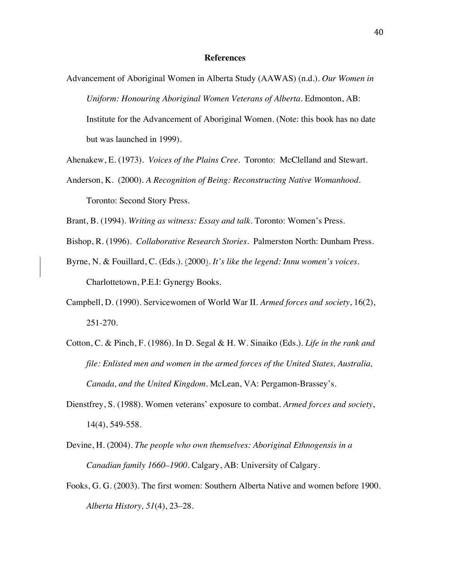### **References**

Advancement of Aboriginal Women in Alberta Study (AAWAS) (n.d.). *Our Women in Uniform: Honouring Aboriginal Women Veterans of Alberta*. Edmonton, AB: Institute for the Advancement of Aboriginal Women. (Note: this book has no date but was launched in 1999).

Ahenakew, E. (1973). *Voices of the Plains Cree.* Toronto: McClelland and Stewart.

Anderson, K. (2000). *A Recognition of Being: Reconstructing Native Womanhood*. Toronto: Second Story Press.

Brant, B. (1994). *Writing as witness: Essay and talk*. Toronto: Women's Press.

- Bishop, R. (1996). *Collaborative Research Stories*. Palmerston North: Dunham Press.
- Byrne, N. & Fouillard, C. (Eds.). (2000). *It's like the legend: Innu women's voices*. Charlottetown, P.E.I: Gynergy Books.
- Campbell, D. (1990). Servicewomen of World War II. *Armed forces and society*, 16(2), 251-270.
- Cotton, C. & Pinch, F. (1986). In D. Segal & H. W. Sinaiko (Eds.). *Life in the rank and file: Enlisted men and women in the armed forces of the United States, Australia, Canada, and the United Kingdom*. McLean, VA: Pergamon-Brassey's.
- Dienstfrey, S. (1988). Women veterans' exposure to combat. *Armed forces and society*, 14(4), 549-558.
- Devine, H. (2004). *The people who own themselves: Aboriginal Ethnogensis in a Canadian family 1660–1900*. Calgary, AB: University of Calgary.
- Fooks, G. G. (2003). The first women: Southern Alberta Native and women before 1900. *Alberta History, 51*(4), 23–28.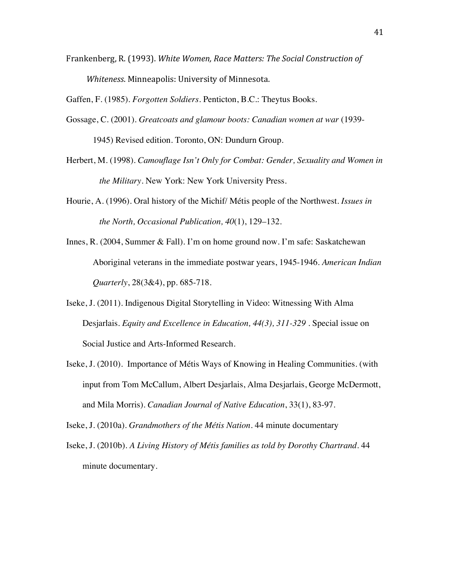Frankenberg, R. (1993). White Women, Race Matters: The Social Construction of Whiteness. Minneapolis: University of Minnesota.

Gaffen, F. (1985). *Forgotten Soldiers*. Penticton, B.C.: Theytus Books.

- Gossage, C. (2001). *Greatcoats and glamour boots: Canadian women at war* (1939- 1945) Revised edition. Toronto, ON: Dundurn Group.
- Herbert, M. (1998). *Camouflage Isn't Only for Combat: Gender, Sexuality and Women in the Military.* New York: New York University Press.
- Hourie, A. (1996)*.* Oral history of the Michif/ Métis people of the Northwest. *Issues in the North, Occasional Publication, 40*(1), 129–132.
- Innes, R. (2004, Summer & Fall). I'm on home ground now. I'm safe: Saskatchewan Aboriginal veterans in the immediate postwar years, 1945-1946. *American Indian Quarterly*, 28(3&4), pp. 685-718.
- Iseke, J. (2011). Indigenous Digital Storytelling in Video: Witnessing With Alma Desjarlais. *Equity and Excellence in Education, 44(3), 311-329* . Special issue on Social Justice and Arts-Informed Research.
- Iseke, J. (2010). Importance of Métis Ways of Knowing in Healing Communities. (with input from Tom McCallum, Albert Desjarlais, Alma Desjarlais, George McDermott, and Mila Morris). *Canadian Journal of Native Education*, 33(1), 83-97.

Iseke, J. (2010a). *Grandmothers of the Métis Nation.* 44 minute documentary

Iseke, J. (2010b). *A Living History of Métis families as told by Dorothy Chartrand*. 44 minute documentary.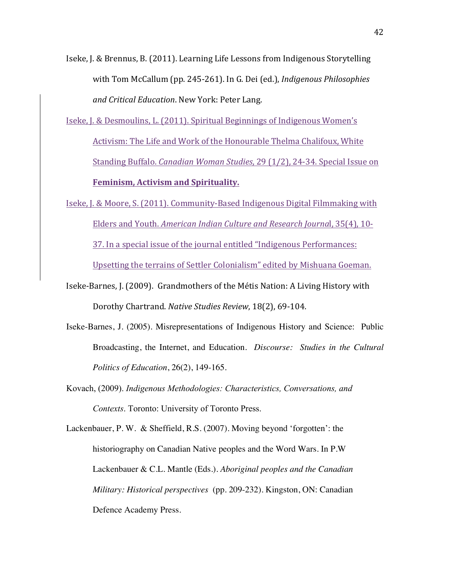Iseke, J. & Brennus, B. (2011). Learning Life Lessons from Indigenous Storytelling with Tom McCallum (pp. 245-261). In G. Dei (ed.), *Indigenous Philosophies and Critical Education*. New York: Peter Lang.

Iseke, J. & Desmoulins, L. (2011). Spiritual Beginnings of Indigenous Women's Activism: The Life and Work of the Honourable Thelma Chalifoux, White Standing Buffalo. *Canadian Woman Studies*, 29 (1/2), 24-34. Special Issue on **Feminism, Activism and Spirituality.** 

Iseke, J. & Moore, S. (2011). Community-Based Indigenous Digital Filmmaking with Elders and Youth. *American Indian Culture and Research Journal*, 35(4), 10-37. In a special issue of the journal entitled "Indigenous Performances: Upsetting the terrains of Settler Colonialism" edited by Mishuana Goeman.

- Iseke-Barnes, J. (2009). Grandmothers of the Métis Nation: A Living History with Dorothy Chartrand. *Native Studies Review*, 18(2), 69-104.
- Iseke-Barnes, J. (2005). Misrepresentations of Indigenous History and Science: Public Broadcasting, the Internet, and Education. *Discourse: Studies in the Cultural Politics of Education*, 26(2), 149-165.
- Kovach, (2009). *Indigenous Methodologies: Characteristics, Conversations, and Contexts*. Toronto: University of Toronto Press.

Lackenbauer, P. W. & Sheffield, R.S. (2007). Moving beyond 'forgotten': the historiography on Canadian Native peoples and the Word Wars. In P.W Lackenbauer & C.L. Mantle (Eds.). *Aboriginal peoples and the Canadian Military: Historical perspectives* (pp. 209-232)*.* Kingston, ON: Canadian Defence Academy Press.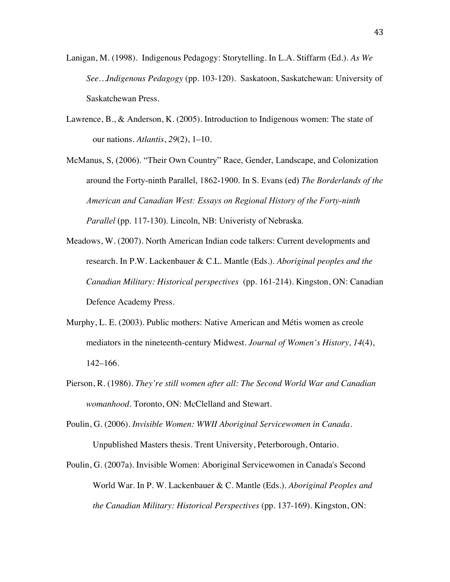- Lanigan, M. (1998). Indigenous Pedagogy: Storytelling. In L.A. Stiffarm (Ed.). *As We See…Indigenous Pedagogy* (pp. 103-120). Saskatoon, Saskatchewan: University of Saskatchewan Press.
- Lawrence, B., & Anderson, K. (2005). Introduction to Indigenous women: The state of our nations. *Atlantis*, *29*(2), 1–10.
- McManus, S, (2006). "Their Own Country" Race, Gender, Landscape, and Colonization around the Forty-ninth Parallel, 1862-1900. In S. Evans (ed) *The Borderlands of the American and Canadian West: Essays on Regional History of the Forty-ninth Parallel* (pp. 117-130). Lincoln, NB: Univeristy of Nebraska.
- Meadows, W. (2007). North American Indian code talkers: Current developments and research. In P.W. Lackenbauer & C.L. Mantle (Eds.). *Aboriginal peoples and the Canadian Military: Historical perspectives* (pp. 161-214)*.* Kingston, ON: Canadian Defence Academy Press.
- Murphy, L. E. (2003). Public mothers: Native American and Métis women as creole mediators in the nineteenth-century Midwest. *Journal of Women's History, 14*(4), 142–166.
- Pierson, R. (1986). *They're still women after all: The Second World War and Canadian womanhood*. Toronto, ON: McClelland and Stewart.
- Poulin, G. (2006). *Invisible Women: WWII Aboriginal Servicewomen in Canada*. Unpublished Masters thesis. Trent University, Peterborough, Ontario.
- Poulin, G. (2007a). Invisible Women: Aboriginal Servicewomen in Canada's Second World War. In P. W. Lackenbauer & C. Mantle (Eds.). *Aboriginal Peoples and the Canadian Military: Historical Perspectives* (pp. 137-169). Kingston, ON: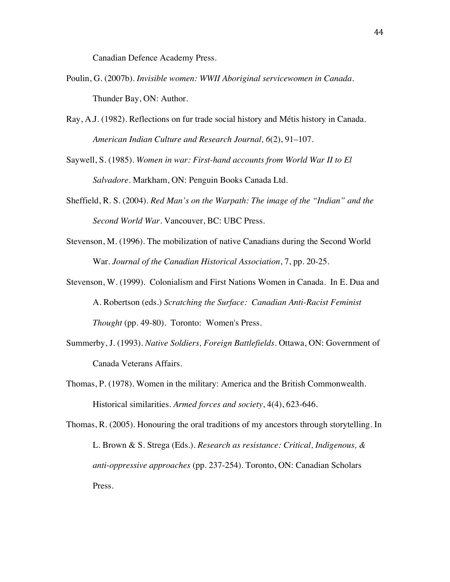Canadian Defence Academy Press.

- Poulin, G. (2007b). *Invisible women: WWII Aboriginal servicewomen in Canada*. Thunder Bay, ON: Author.
- Ray, A.J. (1982). Reflections on fur trade social history and Métis history in Canada. *American Indian Culture and Research Journal, 6*(2), 91–107.

Saywell, S. (1985). *Women in war: First-hand accounts from World War II to El Salvadore*. Markham, ON: Penguin Books Canada Ltd.

- Sheffield, R. S. (2004). *Red Man's on the Warpath: The image of the "Indian" and the Second World War.* Vancouver, BC: UBC Press.
- Stevenson, M. (1996). The mobilization of native Canadians during the Second World War. *Journal of the Canadian Historical Association*, 7, pp. 20-25.
- Stevenson, W. (1999). Colonialism and First Nations Women in Canada. In E. Dua and A. Robertson (eds.) *Scratching the Surface: Canadian Anti-Racist Feminist Thought* (pp. 49-80). Toronto: Women's Press.
- Summerby, J. (1993). *Native Soldiers, Foreign Battlefields*. Ottawa, ON: Government of Canada Veterans Affairs.
- Thomas, P. (1978). Women in the military: America and the British Commonwealth. Historical similarities. *Armed forces and society*, 4(4), 623-646.

Thomas, R. (2005). Honouring the oral traditions of my ancestors through storytelling. In L. Brown & S. Strega (Eds.). *Research as resistance: Critical, Indigenous, & anti-oppressive approaches* (pp. 237-254). Toronto, ON: Canadian Scholars Press.